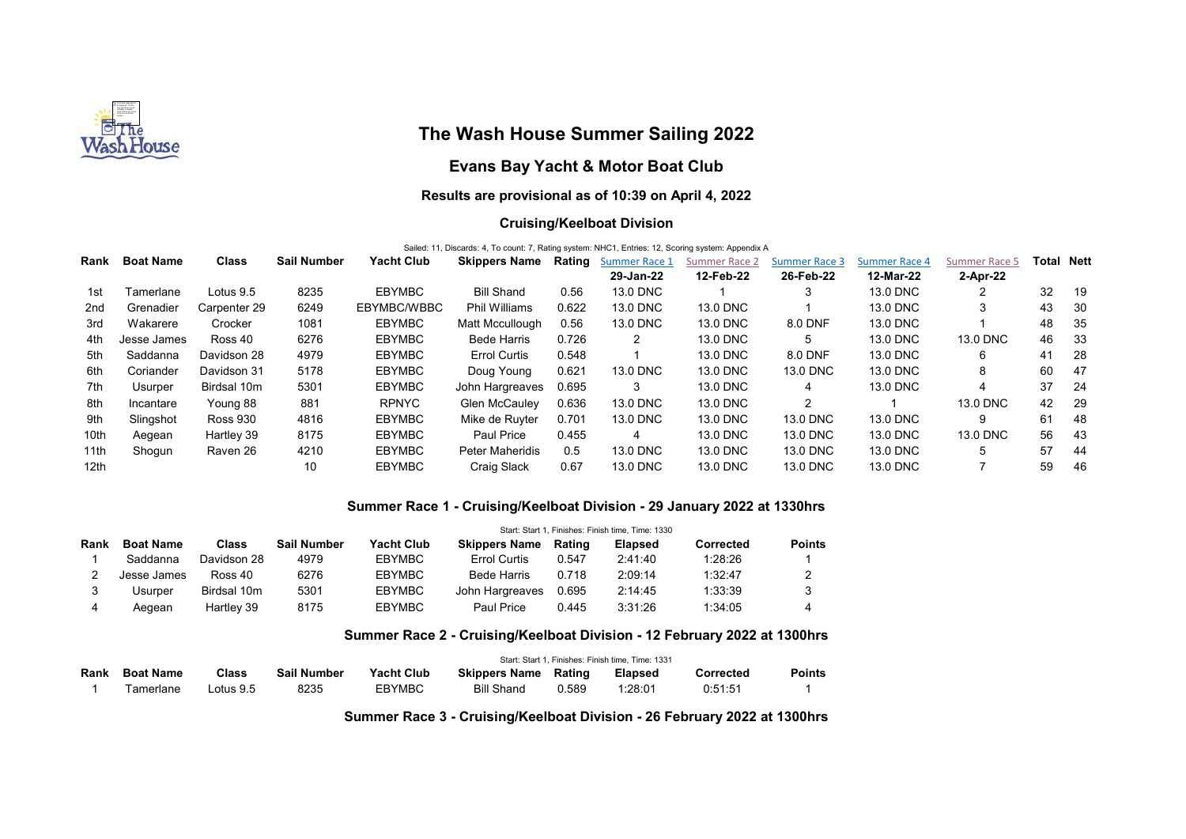

# The Wash House Summer Sailing 2022

## Evans Bay Yacht & Motor Boat Club

## Results are provisional as of 10:39 on April 4, 2022

#### Cruising/Keelboat Division

Sailed: 11, Discards: 4, To count: 7, Rating system: NHC1, Entries: 12, Scoring system: Appendix A

| Rank             | <b>Boat Name</b> | <b>Class</b>    | <b>Sail Number</b> | Yacht Club    | <b>Skippers Name</b>   | Rating | <b>Summer Race 1</b> | <b>Summer Race 2</b> | <b>Summer Race 3</b> | <b>Summer Race 4</b> | Summer Race 5 | Total | Nett |
|------------------|------------------|-----------------|--------------------|---------------|------------------------|--------|----------------------|----------------------|----------------------|----------------------|---------------|-------|------|
|                  |                  |                 |                    |               |                        |        | 29-Jan-22            | 12-Feb-22            | 26-Feb-22            | 12-Mar-22            | 2-Apr-22      |       |      |
| 1st              | Tamerlane        | Lotus 9.5       | 8235               | <b>EBYMBC</b> | <b>Bill Shand</b>      | 0.56   | 13.0 DNC             |                      |                      | 13.0 DNC             |               | 32    | -19  |
| 2 <sub>nd</sub>  | Grenadier        | Carpenter 29    | 6249               | EBYMBC/WBBC   | <b>Phil Williams</b>   | 0.622  | 13.0 DNC             | 13.0 DNC             |                      | 13.0 DNC             | 3             | 43    | -30  |
| 3rd              | Wakarere         | Crocker         | 1081               | <b>EBYMBC</b> | Matt Mccullough        | 0.56   | 13.0 DNC             | 13.0 DNC             | 8.0 DNF              | 13.0 DNC             |               | 48    | 35   |
| 4th              | Jesse James      | Ross 40         | 6276               | <b>EBYMBC</b> | <b>Bede Harris</b>     | 0.726  | 2                    | 13.0 DNC             | 5.                   | 13.0 DNC             | 13.0 DNC      | 46    | -33  |
| 5th              | Saddanna         | Davidson 28     | 4979               | <b>EBYMBC</b> | <b>Errol Curtis</b>    | 0.548  |                      | 13.0 DNC             | 8.0 DNF              | 13.0 DNC             | 6             | 41    | -28  |
| 6th              | Coriander        | Davidson 31     | 5178               | EBYMBC        | Doug Young             | 0.621  | 13.0 DNC             | 13.0 DNC             | 13.0 DNC             | 13.0 DNC             | 8             | 60    | 47   |
| 7th              | Usurper          | Birdsal 10m     | 5301               | <b>EBYMBC</b> | John Hargreaves        | 0.695  | 3                    | 13.0 DNC             | 4                    | 13.0 DNC             | 4             | 37    | -24  |
| 8th              | Incantare        | Young 88        | 881                | <b>RPNYC</b>  | <b>Glen McCaulev</b>   | 0.636  | 13.0 DNC             | 13.0 DNC             | $\overline{2}$       |                      | 13.0 DNC      | 42    | -29  |
| 9th              | Slingshot        | <b>Ross 930</b> | 4816               | EBYMBC        | Mike de Ruvter         | 0.701  | 13.0 DNC             | 13.0 DNC             | 13.0 DNC             | 13.0 DNC             | 9             | 61    | -48  |
| 10th             | Aegean           | Hartley 39      | 8175               | <b>EBYMBC</b> | Paul Price             | 0.455  | 4                    | 13.0 DNC             | 13.0 DNC             | 13.0 DNC             | 13.0 DNC      | 56    | -43  |
| 11th             | Shogun           | Raven 26        | 4210               | EBYMBC        | <b>Peter Maheridis</b> | 0.5    | 13.0 DNC             | 13.0 DNC             | 13.0 DNC             | 13.0 DNC             | 5             | 57    | -44  |
| 12 <sub>th</sub> |                  |                 | 10                 | EBYMBC        | Craig Slack            | 0.67   | 13.0 DNC             | 13.0 DNC             | 13.0 DNC             | 13.0 DNC             |               | 59    | -46  |

#### Summer Race 1 - Cruising/Keelboat Division - 29 January 2022 at 1330hrs

|      |                  |             | Start: Start 1. Finishes: Finish time. Time: 1330 |               |                      |        |                |           |               |  |  |
|------|------------------|-------------|---------------------------------------------------|---------------|----------------------|--------|----------------|-----------|---------------|--|--|
| Rank | <b>Boat Name</b> | Class       | <b>Sail Number</b>                                | Yacht Club    | <b>Skippers Name</b> | Rating | <b>Elapsed</b> | Corrected | <b>Points</b> |  |  |
|      | Saddanna         | Davidson 28 | 4979                                              | <b>EBYMBC</b> | <b>Errol Curtis</b>  | 0.547  | 2:41:40        | 1:28:26   |               |  |  |
|      | Jesse James      | Ross 40     | 6276                                              | <b>EBYMBC</b> | <b>Bede Harris</b>   | 0.718  | 2:09:14        | 1:32:47   |               |  |  |
|      | Usurper          | Birdsal 10m | 5301                                              | <b>EBYMBC</b> | John Hargreaves      | 0.695  | 2:14:45        | 1:33:39   |               |  |  |
| 4    | Aeɑean           | Hartley 39  | 8175                                              | <b>EBYMBC</b> | Paul Price           | 0.445  | 3:31:26        | 1:34:05   |               |  |  |

### Summer Race 2 - Cruising/Keelboat Division - 12 February 2022 at 1300hrs

|      |                  |              |                    | Start: Start 1, Finishes: Finish time, Time: 1331 |                      |        |                |           |               |  |  |
|------|------------------|--------------|--------------------|---------------------------------------------------|----------------------|--------|----------------|-----------|---------------|--|--|
| Rank | <b>Boat Name</b> | <b>Class</b> | <b>Sail Number</b> | <b>Yacht Club</b>                                 | <b>Skippers Name</b> | Rating | <b>Elapsed</b> | Corrected | <b>Points</b> |  |  |
|      | Tamerlane        | ∟otus 9.5    | 8235               | <b>EBYMBC</b>                                     | <b>Bill Shand</b>    | 0.589  | 1:28:01        | 0:51:51   |               |  |  |

Summer Race 3 - Cruising/Keelboat Division - 26 February 2022 at 1300hrs